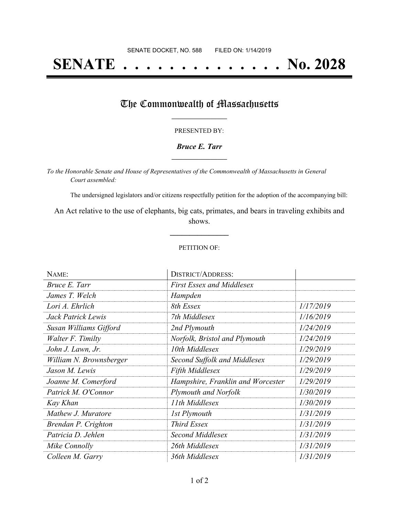# **SENATE . . . . . . . . . . . . . . No. 2028**

### The Commonwealth of Massachusetts

#### PRESENTED BY:

#### *Bruce E. Tarr* **\_\_\_\_\_\_\_\_\_\_\_\_\_\_\_\_\_**

*To the Honorable Senate and House of Representatives of the Commonwealth of Massachusetts in General Court assembled:*

The undersigned legislators and/or citizens respectfully petition for the adoption of the accompanying bill:

An Act relative to the use of elephants, big cats, primates, and bears in traveling exhibits and shows.

**\_\_\_\_\_\_\_\_\_\_\_\_\_\_\_**

#### PETITION OF:

| NAME:                   | <b>DISTRICT/ADDRESS:</b>          |           |
|-------------------------|-----------------------------------|-----------|
| Bruce E. Tarr           | <b>First Essex and Middlesex</b>  |           |
| James T. Welch          | Hampden                           |           |
| Lori A. Ehrlich         | 8th Essex                         | 1/17/2019 |
| Jack Patrick Lewis      | 7th Middlesex                     | 1/16/2019 |
| Susan Williams Gifford  | 2nd Plymouth                      | 1/24/2019 |
| Walter F. Timilty       | Norfolk, Bristol and Plymouth     | 1/24/2019 |
| John J. Lawn, Jr.       | 10th Middlesex                    | 1/29/2019 |
| William N. Brownsberger | Second Suffolk and Middlesex      | 1/29/2019 |
| Jason M. Lewis          | <b>Fifth Middlesex</b>            | 1/29/2019 |
| Joanne M. Comerford     | Hampshire, Franklin and Worcester | 1/29/2019 |
| Patrick M. O'Connor     | <b>Plymouth and Norfolk</b>       | 1/30/2019 |
| Kay Khan                | 11th Middlesex                    | 1/30/2019 |
| Mathew J. Muratore      | <b>1st Plymouth</b>               | 1/31/2019 |
| Brendan P. Crighton     | <b>Third Essex</b>                | 1/31/2019 |
| Patricia D. Jehlen      | Second Middlesex                  | 1/31/2019 |
| Mike Connolly           | 26th Middlesex                    | 1/31/2019 |
| Colleen M. Garry        | 36th Middlesex                    | 1/31/2019 |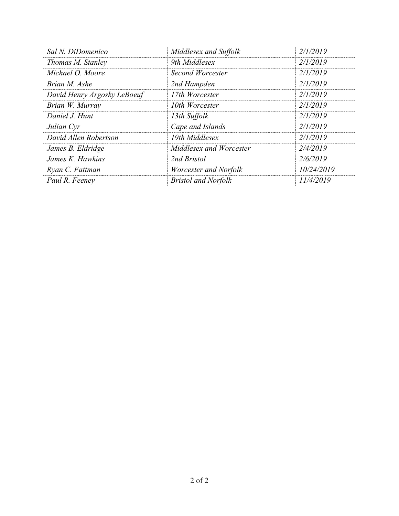| Sal N. DiDomenico           | Middlesex and Suffolk      | 2/1/2019   |
|-----------------------------|----------------------------|------------|
| Thomas M. Stanley           | 9th Middlesex              | 2/1/2019   |
| Michael O. Moore            | Second Worcester           | 2/1/2019   |
| Brian M. Ashe               | 2nd Hampden                | 2/1/2019   |
| David Henry Argosky LeBoeuf | 17th Worcester             | 2/1/2019   |
| Brian W. Murray             | 10th Worcester             | 2/1/2019   |
| Daniel J. Hunt              | 13th Suffolk               | 2/1/2019   |
| Julian Cyr                  | Cape and Islands           | 2/1/2019   |
| David Allen Robertson       | 19th Middlesex             | 2/1/2019   |
| James B. Eldridge           | Middlesex and Worcester    | 2/4/2019   |
| James K. Hawkins            | 2nd Bristol                | 2/6/2019   |
| Ryan C. Fattman             | Worcester and Norfolk      | 10/24/2019 |
| Paul R. Feeney              | <b>Bristol and Norfolk</b> | 11/4/2019  |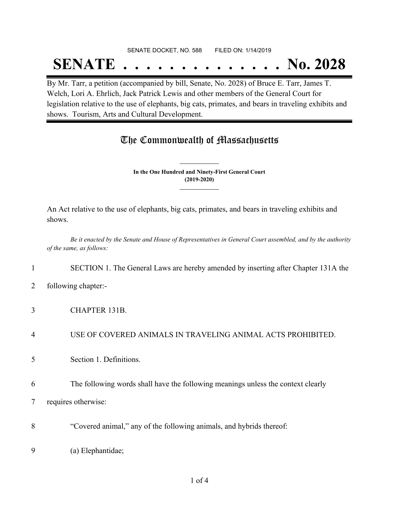#### SENATE DOCKET, NO. 588 FILED ON: 1/14/2019

## **SENATE . . . . . . . . . . . . . . No. 2028**

By Mr. Tarr, a petition (accompanied by bill, Senate, No. 2028) of Bruce E. Tarr, James T. Welch, Lori A. Ehrlich, Jack Patrick Lewis and other members of the General Court for legislation relative to the use of elephants, big cats, primates, and bears in traveling exhibits and shows. Tourism, Arts and Cultural Development.

## The Commonwealth of Massachusetts

**In the One Hundred and Ninety-First General Court (2019-2020) \_\_\_\_\_\_\_\_\_\_\_\_\_\_\_**

**\_\_\_\_\_\_\_\_\_\_\_\_\_\_\_**

An Act relative to the use of elephants, big cats, primates, and bears in traveling exhibits and shows.

Be it enacted by the Senate and House of Representatives in General Court assembled, and by the authority *of the same, as follows:*

#### 1 SECTION 1. The General Laws are hereby amended by inserting after Chapter 131A the

- 2 following chapter:-
- 3 CHAPTER 131B.
- 4 USE OF COVERED ANIMALS IN TRAVELING ANIMAL ACTS PROHIBITED.
- 5 Section 1. Definitions.
- 6 The following words shall have the following meanings unless the context clearly
- 7 requires otherwise:
- 8 "Covered animal," any of the following animals, and hybrids thereof:
- 9 (a) Elephantidae;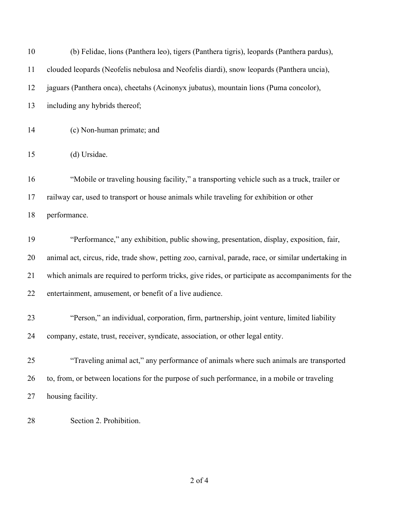| 10 | (b) Felidae, lions (Panthera leo), tigers (Panthera tigris), leopards (Panthera pardus),             |
|----|------------------------------------------------------------------------------------------------------|
| 11 | clouded leopards (Neofelis nebulosa and Neofelis diardi), snow leopards (Panthera uncia),            |
| 12 | jaguars (Panthera onca), cheetahs (Acinonyx jubatus), mountain lions (Puma concolor),                |
| 13 | including any hybrids thereof;                                                                       |
| 14 | (c) Non-human primate; and                                                                           |
| 15 | (d) Ursidae.                                                                                         |
| 16 | "Mobile or traveling housing facility," a transporting vehicle such as a truck, trailer or           |
| 17 | railway car, used to transport or house animals while traveling for exhibition or other              |
| 18 | performance.                                                                                         |
| 19 | "Performance," any exhibition, public showing, presentation, display, exposition, fair,              |
| 20 | animal act, circus, ride, trade show, petting zoo, carnival, parade, race, or similar undertaking in |
| 21 | which animals are required to perform tricks, give rides, or participate as accompaniments for the   |
| 22 | entertainment, amusement, or benefit of a live audience.                                             |
| 23 | "Person," an individual, corporation, firm, partnership, joint venture, limited liability            |
| 24 | company, estate, trust, receiver, syndicate, association, or other legal entity.                     |
| 25 | "Traveling animal act," any performance of animals where such animals are transported                |
| 26 | to, from, or between locations for the purpose of such performance, in a mobile or traveling         |
| 27 | housing facility.                                                                                    |
| 28 | Section 2. Prohibition.                                                                              |

of 4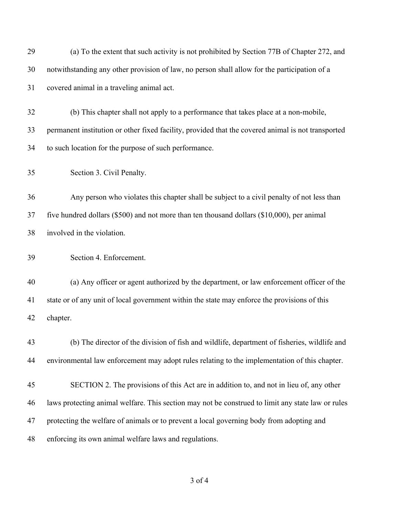| notwithstanding any other provision of law, no person shall allow for the participation of a       |
|----------------------------------------------------------------------------------------------------|
| covered animal in a traveling animal act.                                                          |
| (b) This chapter shall not apply to a performance that takes place at a non-mobile,                |
| permanent institution or other fixed facility, provided that the covered animal is not transported |
| to such location for the purpose of such performance.                                              |
| Section 3. Civil Penalty.                                                                          |
| Any person who violates this chapter shall be subject to a civil penalty of not less than          |
| five hundred dollars $(\$500)$ and not more than ten thousand dollars $(\$10,000)$ , per animal    |
| involved in the violation.                                                                         |
| Section 4. Enforcement.                                                                            |
| (a) Any officer or agent authorized by the department, or law enforcement officer of the           |
| state or of any unit of local government within the state may enforce the provisions of this       |
| chapter.                                                                                           |
| (b) The director of the division of fish and wildlife, department of fisheries, wildlife and       |
| environmental law enforcement may adopt rules relating to the implementation of this chapter.      |
| SECTION 2. The provisions of this Act are in addition to, and not in lieu of, any other            |
| laws protecting animal welfare. This section may not be construed to limit any state law or rules  |
| protecting the welfare of animals or to prevent a local governing body from adopting and           |
| enforcing its own animal welfare laws and regulations.                                             |
|                                                                                                    |

of 4